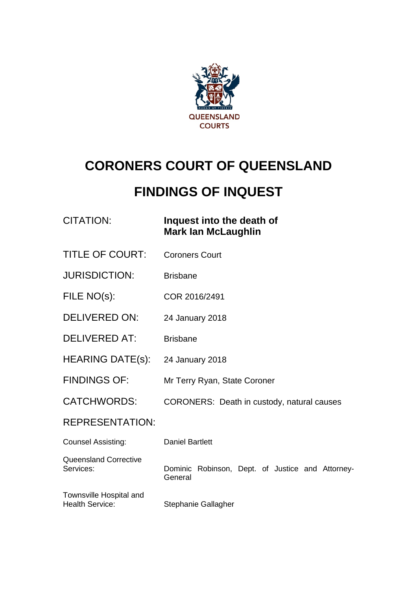

# **CORONERS COURT OF QUEENSLAND**

# **FINDINGS OF INQUEST**

| CITATION: | Inquest into the death of  |
|-----------|----------------------------|
|           | <b>Mark lan McLaughlin</b> |

- TITLE OF COURT: Coroners Court
- JURISDICTION: Brisbane
- FILE NO(s): COR 2016/2491
- DELIVERED ON: 24 January 2018
- DELIVERED AT: Brisbane
- HEARING DATE(s): 24 January 2018
- FINDINGS OF: Mr Terry Ryan, State Coroner
- CATCHWORDS: CORONERS: Death in custody, natural causes

#### REPRESENTATION:

| <b>Counsel Assisting:</b>                         | <b>Daniel Bartlett</b>                                      |
|---------------------------------------------------|-------------------------------------------------------------|
| <b>Queensland Corrective</b><br>Services:         | Dominic Robinson, Dept. of Justice and Attorney-<br>General |
| Townsville Hospital and<br><b>Health Service:</b> | Stephanie Gallagher                                         |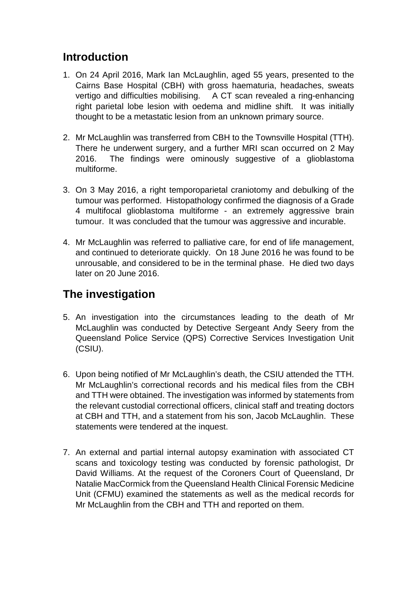#### **Introduction**

- 1. On 24 April 2016, Mark Ian McLaughlin, aged 55 years, presented to the Cairns Base Hospital (CBH) with gross haematuria, headaches, sweats vertigo and difficulties mobilising. A CT scan revealed a ring-enhancing right parietal lobe lesion with oedema and midline shift. It was initially thought to be a metastatic lesion from an unknown primary source.
- 2. Mr McLaughlin was transferred from CBH to the Townsville Hospital (TTH). There he underwent surgery, and a further MRI scan occurred on 2 May 2016. The findings were ominously suggestive of a glioblastoma multiforme.
- 3. On 3 May 2016, a right temporoparietal craniotomy and debulking of the tumour was performed. Histopathology confirmed the diagnosis of a Grade 4 multifocal glioblastoma multiforme - an extremely aggressive brain tumour. It was concluded that the tumour was aggressive and incurable.
- 4. Mr McLaughlin was referred to palliative care, for end of life management, and continued to deteriorate quickly. On 18 June 2016 he was found to be unrousable, and considered to be in the terminal phase. He died two days later on 20 June 2016.

## **The investigation**

- 5. An investigation into the circumstances leading to the death of Mr McLaughlin was conducted by Detective Sergeant Andy Seery from the Queensland Police Service (QPS) Corrective Services Investigation Unit (CSIU).
- 6. Upon being notified of Mr McLaughlin's death, the CSIU attended the TTH. Mr McLaughlin's correctional records and his medical files from the CBH and TTH were obtained. The investigation was informed by statements from the relevant custodial correctional officers, clinical staff and treating doctors at CBH and TTH, and a statement from his son, Jacob McLaughlin. These statements were tendered at the inquest.
- 7. An external and partial internal autopsy examination with associated CT scans and toxicology testing was conducted by forensic pathologist, Dr David Williams. At the request of the Coroners Court of Queensland, Dr Natalie MacCormick from the Queensland Health Clinical Forensic Medicine Unit (CFMU) examined the statements as well as the medical records for Mr McLaughlin from the CBH and TTH and reported on them.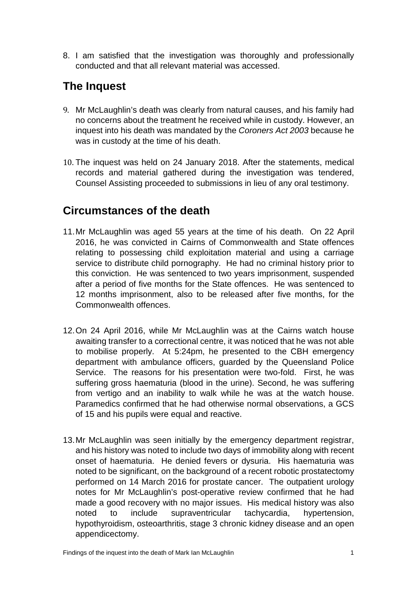8. I am satisfied that the investigation was thoroughly and professionally conducted and that all relevant material was accessed.

## **The Inquest**

- 9. Mr McLaughlin's death was clearly from natural causes, and his family had no concerns about the treatment he received while in custody. However, an inquest into his death was mandated by the *Coroners Act 2003* because he was in custody at the time of his death.
- 10. The inquest was held on 24 January 2018. After the statements, medical records and material gathered during the investigation was tendered, Counsel Assisting proceeded to submissions in lieu of any oral testimony.

#### **Circumstances of the death**

- 11.Mr McLaughlin was aged 55 years at the time of his death. On 22 April 2016, he was convicted in Cairns of Commonwealth and State offences relating to possessing child exploitation material and using a carriage service to distribute child pornography. He had no criminal history prior to this conviction. He was sentenced to two years imprisonment, suspended after a period of five months for the State offences. He was sentenced to 12 months imprisonment, also to be released after five months, for the Commonwealth offences.
- 12.On 24 April 2016, while Mr McLaughlin was at the Cairns watch house awaiting transfer to a correctional centre, it was noticed that he was not able to mobilise properly. At 5:24pm, he presented to the CBH emergency department with ambulance officers, guarded by the Queensland Police Service. The reasons for his presentation were two-fold. First, he was suffering gross haematuria (blood in the urine). Second, he was suffering from vertigo and an inability to walk while he was at the watch house. Paramedics confirmed that he had otherwise normal observations, a GCS of 15 and his pupils were equal and reactive.
- 13.Mr McLaughlin was seen initially by the emergency department registrar, and his history was noted to include two days of immobility along with recent onset of haematuria. He denied fevers or dysuria. His haematuria was noted to be significant, on the background of a recent robotic prostatectomy performed on 14 March 2016 for prostate cancer. The outpatient urology notes for Mr McLaughlin's post-operative review confirmed that he had made a good recovery with no major issues. His medical history was also noted to include supraventricular tachycardia, hypertension, hypothyroidism, osteoarthritis, stage 3 chronic kidney disease and an open appendicectomy.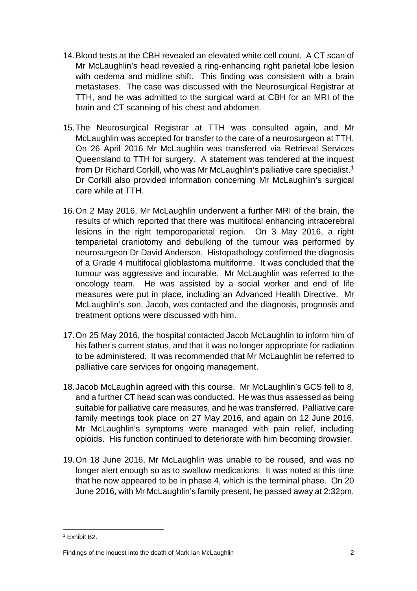- 14.Blood tests at the CBH revealed an elevated white cell count. A CT scan of Mr McLaughlin's head revealed a ring-enhancing right parietal lobe lesion with oedema and midline shift. This finding was consistent with a brain metastases. The case was discussed with the Neurosurgical Registrar at TTH, and he was admitted to the surgical ward at CBH for an MRI of the brain and CT scanning of his chest and abdomen.
- 15.The Neurosurgical Registrar at TTH was consulted again, and Mr McLaughlin was accepted for transfer to the care of a neurosurgeon at TTH. On 26 April 2016 Mr McLaughlin was transferred via Retrieval Services Queensland to TTH for surgery. A statement was tendered at the inquest from Dr Richard Corkill, who was Mr McLaughlin's palliative care specialist.[1](#page-3-0) Dr Corkill also provided information concerning Mr McLaughlin's surgical care while at TTH.
- 16.On 2 May 2016, Mr McLaughlin underwent a further MRI of the brain, the results of which reported that there was multifocal enhancing intracerebral lesions in the right temporoparietal region. On 3 May 2016, a right temparietal craniotomy and debulking of the tumour was performed by neurosurgeon Dr David Anderson. Histopathology confirmed the diagnosis of a Grade 4 multifocal glioblastoma multiforme. It was concluded that the tumour was aggressive and incurable. Mr McLaughlin was referred to the oncology team. He was assisted by a social worker and end of life measures were put in place, including an Advanced Health Directive. Mr McLaughlin's son, Jacob, was contacted and the diagnosis, prognosis and treatment options were discussed with him.
- 17.On 25 May 2016, the hospital contacted Jacob McLaughlin to inform him of his father's current status, and that it was no longer appropriate for radiation to be administered. It was recommended that Mr McLaughlin be referred to palliative care services for ongoing management.
- 18.Jacob McLaughlin agreed with this course. Mr McLaughlin's GCS fell to 8, and a further CT head scan was conducted. He was thus assessed as being suitable for palliative care measures, and he was transferred. Palliative care family meetings took place on 27 May 2016, and again on 12 June 2016. Mr McLaughlin's symptoms were managed with pain relief, including opioids. His function continued to deteriorate with him becoming drowsier.
- 19.On 18 June 2016, Mr McLaughlin was unable to be roused, and was no longer alert enough so as to swallow medications. It was noted at this time that he now appeared to be in phase 4, which is the terminal phase. On 20 June 2016, with Mr McLaughlin's family present, he passed away at 2:32pm.

<span id="page-3-0"></span><sup>1</sup> Exhibit B2.

Findings of the inquest into the death of Mark Ian McLaughlin 2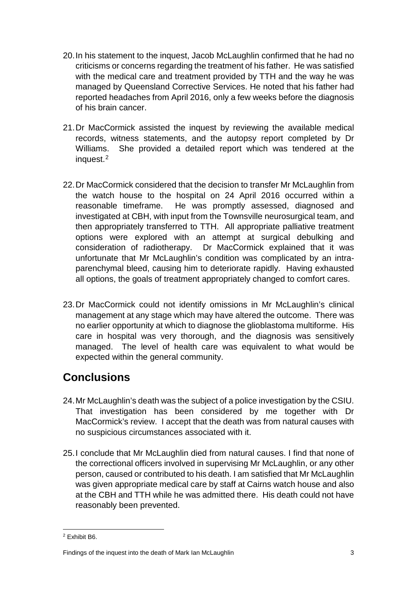- 20.In his statement to the inquest, Jacob McLaughlin confirmed that he had no criticisms or concerns regarding the treatment of his father. He was satisfied with the medical care and treatment provided by TTH and the way he was managed by Queensland Corrective Services. He noted that his father had reported headaches from April 2016, only a few weeks before the diagnosis of his brain cancer.
- 21.Dr MacCormick assisted the inquest by reviewing the available medical records, witness statements, and the autopsy report completed by Dr Williams. She provided a detailed report which was tendered at the inquest.[2](#page-4-0)
- 22.Dr MacCormick considered that the decision to transfer Mr McLaughlin from the watch house to the hospital on 24 April 2016 occurred within a reasonable timeframe. He was promptly assessed, diagnosed and investigated at CBH, with input from the Townsville neurosurgical team, and then appropriately transferred to TTH. All appropriate palliative treatment options were explored with an attempt at surgical debulking and consideration of radiotherapy. Dr MacCormick explained that it was unfortunate that Mr McLaughlin's condition was complicated by an intraparenchymal bleed, causing him to deteriorate rapidly. Having exhausted all options, the goals of treatment appropriately changed to comfort cares.
- 23.Dr MacCormick could not identify omissions in Mr McLaughlin's clinical management at any stage which may have altered the outcome. There was no earlier opportunity at which to diagnose the glioblastoma multiforme. His care in hospital was very thorough, and the diagnosis was sensitively managed. The level of health care was equivalent to what would be expected within the general community.

### **Conclusions**

- 24.Mr McLaughlin's death was the subject of a police investigation by the CSIU. That investigation has been considered by me together with Dr MacCormick's review. I accept that the death was from natural causes with no suspicious circumstances associated with it.
- 25.I conclude that Mr McLaughlin died from natural causes. I find that none of the correctional officers involved in supervising Mr McLaughlin, or any other person, caused or contributed to his death. I am satisfied that Mr McLaughlin was given appropriate medical care by staff at Cairns watch house and also at the CBH and TTH while he was admitted there. His death could not have reasonably been prevented.

<span id="page-4-0"></span><sup>2</sup> Exhibit B6.

Findings of the inquest into the death of Mark Ian McLaughlin 3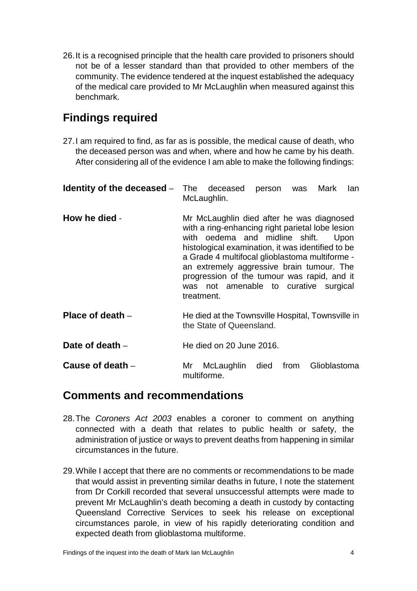26.It is a recognised principle that the health care provided to prisoners should not be of a lesser standard than that provided to other members of the community. The evidence tendered at the inquest established the adequacy of the medical care provided to Mr McLaughlin when measured against this benchmark.

#### **Findings required**

27.I am required to find, as far as is possible, the medical cause of death, who the deceased person was and when, where and how he came by his death. After considering all of the evidence I am able to make the following findings:

| Identity of the deceased - | The deceased<br>person was Mark<br>lan<br>McLaughlin.                                                                                                                                                                                                                                                                                                                                          |
|----------------------------|------------------------------------------------------------------------------------------------------------------------------------------------------------------------------------------------------------------------------------------------------------------------------------------------------------------------------------------------------------------------------------------------|
| How he died -              | Mr McLaughlin died after he was diagnosed<br>with a ring-enhancing right parietal lobe lesion<br>with oedema and midline shift. Upon<br>histological examination, it was identified to be<br>a Grade 4 multifocal glioblastoma multiforme -<br>an extremely aggressive brain tumour. The<br>progression of the tumour was rapid, and it<br>was not amenable to curative surgical<br>treatment. |
| Place of death -           | He died at the Townsville Hospital, Townsville in<br>the State of Queensland.                                                                                                                                                                                                                                                                                                                  |
| Date of death $-$          | He died on 20 June 2016.                                                                                                                                                                                                                                                                                                                                                                       |
| Cause of death $-$         | died from<br>Glioblastoma<br>Mr<br>McLaughlin<br>multiforme.                                                                                                                                                                                                                                                                                                                                   |

#### **Comments and recommendations**

- 28.The *Coroners Act 2003* enables a coroner to comment on anything connected with a death that relates to public health or safety, the administration of justice or ways to prevent deaths from happening in similar circumstances in the future.
- 29.While I accept that there are no comments or recommendations to be made that would assist in preventing similar deaths in future, I note the statement from Dr Corkill recorded that several unsuccessful attempts were made to prevent Mr McLaughlin's death becoming a death in custody by contacting Queensland Corrective Services to seek his release on exceptional circumstances parole, in view of his rapidly deteriorating condition and expected death from glioblastoma multiforme.